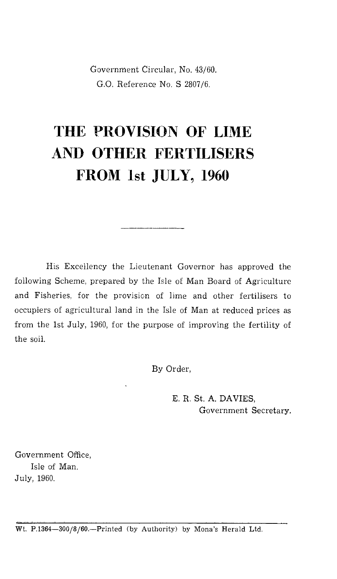Government Circular, No. 43/60. G.O. Reference No. S 2807/6.

## **THE PROVISION OF LIME AND OTHER FERTILISERS FROM 1st JULY, 1960**

His Excellency the Lieutenant Governor has approved the following Scheme, prepared by the Isle of Man Board of Agriculture and Fisheries, for the provision of lime and other fertilisers to occupiers of agricultural land in the Isle of Man at reduced prices as from the 1st July, 1960, for the purpose of improving the fertility of the soil.

By Order,

E. R. St. A. DAVIES, Government Secretary.

Government Office, Isle of Man. July, 1960.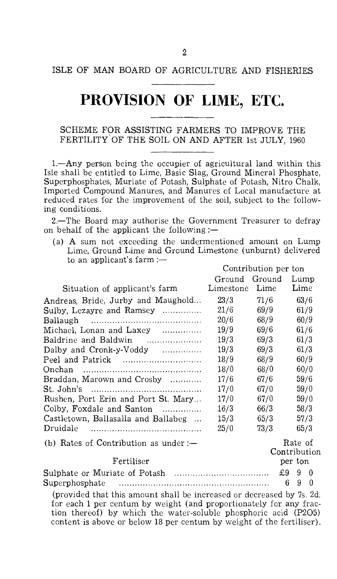## ISLE OF MAN BOARD OF AGRICULTURE AND FISHERIES

## **PROVISION OF LIME, ETC.**

SCHEME FOR ASSISTING FARMERS TO IMPROVE THE FERTILITY OF THE SOIL ON AND AFTER 1st JULY, 1960

1.—Any person being the occupier of agricultural land within this Isle shall be entitled to Lime, Basic Slag, Ground Mineral Phosphate, Superphosphates, Muriate of Potash, Sulphate of Potash, Nitro Chalk, Imported Compound Manures, and Manures of Local manufacture at reduced rates for the improvement of the soil, subject to the following conditions.

2.—The Board may authorise the Government Treasurer to defray on behalf of the applicant the following : $-$ 

(a) A sum not exceeding the undermentioned amount on Lump Lime, Ground Lime and Ground Limestone (unburnt) delivered to an applicant's farm :—

Contribution per ton

|                                       | Ground Ground  |      | Lump                    |          |  |
|---------------------------------------|----------------|------|-------------------------|----------|--|
| Situation of applicant's farm         | Limestone Lime |      | Lime                    |          |  |
| Andreas, Bride, Jurby and Maughold    | 23/3           | 71/6 | 63/6                    |          |  |
| Sulby, Lezayre and Ramsey             | 21/6           | 69/9 | 61/9                    |          |  |
|                                       | 20/6           | 68/9 | 60/9                    |          |  |
| Michael, Lonan and Laxey              | 19/9           | 69/6 | 61/6                    |          |  |
| Baldrine and Baldwin                  | 19/3           | 69/3 | 61/3                    |          |  |
| Dalby and Cronk-y-Voddy               | 19/3           | 69/3 | 61/3                    |          |  |
| Peel and Patrick                      | 18/9           | 68/9 | 60/9                    |          |  |
|                                       | 18/0           | 68/0 | 60/0                    |          |  |
| Braddan, Marown and Crosby            | 17/6           | 67/6 | 59/6                    |          |  |
|                                       | 17/0           | 67/0 | 59/0                    |          |  |
| Rushen, Port Erin and Port St. Mary   | 17/0           | 67/0 | 59/0                    |          |  |
| Colby, Foxdale and Santon             | 16/3           | 66/3 | 58/3                    |          |  |
| Castletown, Ballasalla and Ballabeg   | 15/3           | 65/3 | 57/3                    |          |  |
|                                       | 25/0           | 73/3 | 65/3                    |          |  |
| (b) Rates of Contribution as under :— |                |      | Rate of<br>Contribution |          |  |
| Fertiliser                            |                |      | per ton                 |          |  |
|                                       |                |      | £9<br>9<br>$\mathbf{0}$ |          |  |
|                                       |                |      | 9<br>6                  | $\Omega$ |  |
| $\sim$ 3 10 $\mu$ . The set of $\sim$ |                |      |                         |          |  |
|                                       |                |      |                         |          |  |

(provided that this amount shall be increased or decreased by 7s. 2d. for each 1 per centum by weight (and proportionately for any fraction thereof) by which the water-soluble phosphoric acid (P205) content is above or below 18 per centum by weight of the fertiliser).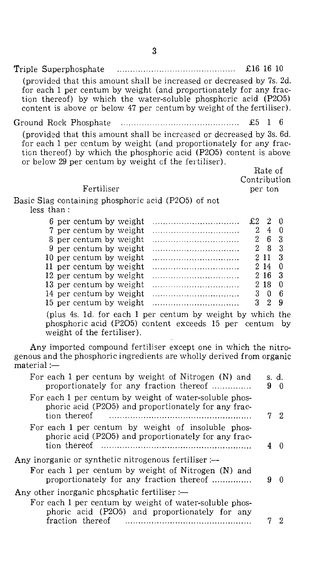Triple Superphosphate  $\ldots$   $\ldots$   $\ldots$   $\ldots$   $\ldots$   $\ldots$   $\ldots$   $\ldots$   $\ldots$   $\ldots$   $\ldots$   $\ldots$   $\ldots$   $\ldots$   $\ldots$   $\ldots$   $\ldots$   $\ldots$   $\ldots$   $\ldots$   $\ldots$   $\ldots$   $\ldots$   $\ldots$   $\ldots$   $\ldots$   $\ldots$   $\ldots$   $\ldots$   $\ldots$   $\ldots$   $\ldots$   $\ldots$  (provided that this amount shall be increased or decreased by 7s. 2d. for each 1 per centum by weight (and proportionately for any fraction thereof) by which the water-soluble phosphoric acid (P2O5) content is above or below 47 per centum by weight of the fertiliser).

Ground Rock Phosphate £5 1 6

(provided that this amount shall be increased or decreased by 3s. 6d. for each 1 per centum by weight (and proportionately for any fraction thereof) by which the phosphoric acid (P2O5) content is above or below 29 per centum by weight of the fertiliser).

> Rate of Contribution per ton

## Fertiliser

Basic Slag containing phosphoric acid (P2O5) of not less than :

| 6 per centum by weight  | $£2$ 2 0 |                     |  |
|-------------------------|----------|---------------------|--|
| 7 per centum by weight  |          | 240                 |  |
| 8 per centum by weight  |          | 2 6 3               |  |
| 9 per centum by weight  |          | $2 \quad 8 \quad 3$ |  |
| 10 per centum by weight |          | $2 \; 11 \; 3$      |  |
| 11 per centum by weight |          | 214 0               |  |
| 12 per centum by weight |          | 2, 16, 3            |  |
| 13 per centum by weight |          | 218 0               |  |
| 14 per centum by weight |          | 306                 |  |
| 15 per centum by weight |          | 32                  |  |

(plus 4s. ld. for each 1 per centum by weight by which the phosphoric acid (P2O5) content exceeds 15 per centum by weight of the fertiliser).

Any imported compound fertiliser except one in which the nitrogenous and the phosphoric ingredients are wholly derived from organic  $material :=$ 

| For each 1 per centum by weight of Nitrogen (N) and<br>proportionately for any fraction thereof                                                         | s. d.<br>9 | ∩  |
|---------------------------------------------------------------------------------------------------------------------------------------------------------|------------|----|
| For each 1 per centum by weight of water-soluble phos-<br>phoric acid (P2O5) and proportionately for any frac-<br>tion thereof                          |            | 72 |
| For each 1 per centum by weight of insoluble phos-<br>phoric acid (P2O5) and proportionately for any frac-<br>tion thereof                              |            |    |
| Any inorganic or synthetic nitrogenous fertiliser :-<br>For each 1 per centum by weight of Nitrogen (N) and<br>proportionately for any fraction thereof | 9          | ∩  |
| Any other inorganic phosphatic fertiliser :—                                                                                                            |            |    |
| For each 1 per centum by weight of water-soluble phos-<br>phoric acid (P2O5) and proportionately for any<br>fraction thereof                            |            | 2  |